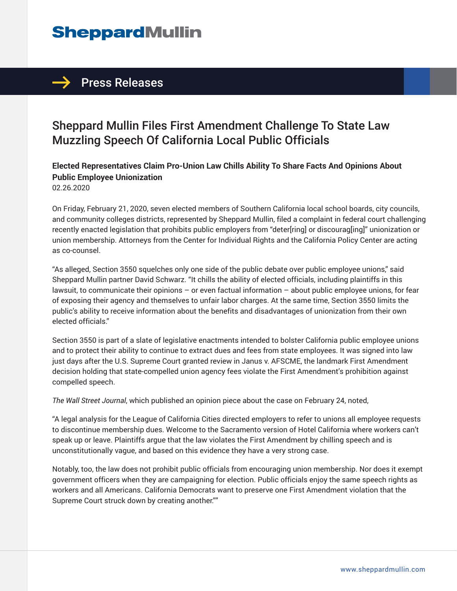# **SheppardMullin**

### $\rightarrow$  Press Releases

## Sheppard Mullin Files First Amendment Challenge To State Law Muzzling Speech Of California Local Public Officials

**Elected Representatives Claim Pro-Union Law Chills Ability To Share Facts And Opinions About Public Employee Unionization**

02.26.2020

On Friday, February 21, 2020, seven elected members of Southern California local school boards, city councils, and community colleges districts, represented by Sheppard Mullin, filed a complaint in federal court challenging recently enacted legislation that prohibits public employers from "deter[ring] or discourag[ing]" unionization or union membership. Attorneys from the Center for Individual Rights and the California Policy Center are acting as co-counsel.

"As alleged, Section 3550 squelches only one side of the public debate over public employee unions," said Sheppard Mullin partner David Schwarz. "It chills the ability of elected officials, including plaintiffs in this lawsuit, to communicate their opinions – or even factual information – about public employee unions, for fear of exposing their agency and themselves to unfair labor charges. At the same time, Section 3550 limits the public's ability to receive information about the benefits and disadvantages of unionization from their own elected officials."

Section 3550 is part of a slate of legislative enactments intended to bolster California public employee unions and to protect their ability to continue to extract dues and fees from state employees. It was signed into law just days after the U.S. Supreme Court granted review in Janus v. AFSCME, the landmark First Amendment decision holding that state-compelled union agency fees violate the First Amendment's prohibition against compelled speech.

*The Wall Street Journal*, which published an opinion piece about the case on February 24, noted,

"A legal analysis for the League of California Cities directed employers to refer to unions all employee requests to discontinue membership dues. Welcome to the Sacramento version of Hotel California where workers can't speak up or leave. Plaintiffs argue that the law violates the First Amendment by chilling speech and is unconstitutionally vague, and based on this evidence they have a very strong case.

Notably, too, the law does not prohibit public officials from encouraging union membership. Nor does it exempt government officers when they are campaigning for election. Public officials enjoy the same speech rights as workers and all Americans. California Democrats want to preserve one First Amendment violation that the Supreme Court struck down by creating another.""